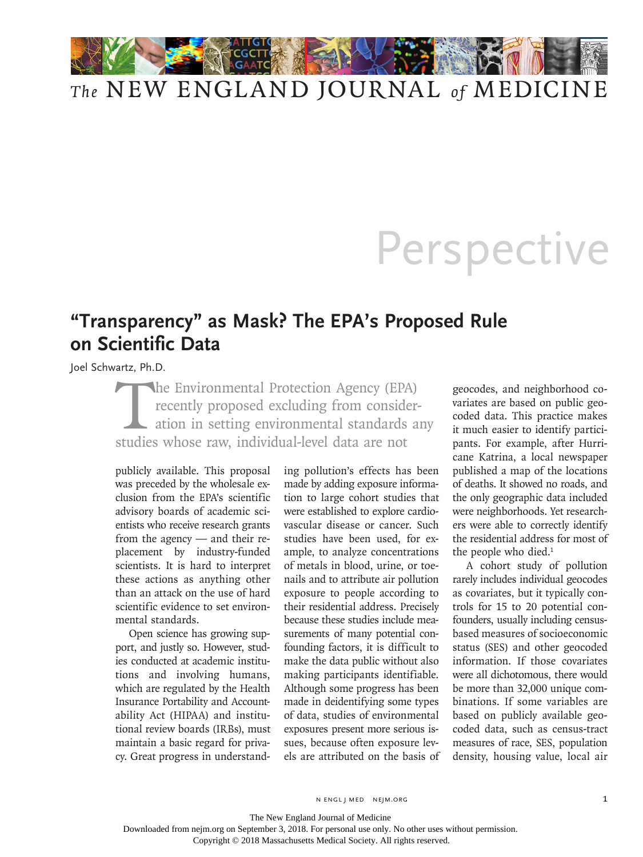

## *The* NEW ENGLAND JOURNAL *of* MEDICINE

## **Perspective**

## **"Transparency" as Mask? The EPA's Proposed Rule on Scientific Data**

Joel Schwartz, Ph.D.

The Environmental Protection Agency (EPA) recently proposed excluding from consideration in setting environmental standards any studies whose raw, individual-level data are not

publicly available. This proposal was preceded by the wholesale exclusion from the EPA's scientific advisory boards of academic scientists who receive research grants from the agency — and their replacement by industry-funded scientists. It is hard to interpret these actions as anything other than an attack on the use of hard scientific evidence to set environmental standards.

Open science has growing support, and justly so. However, studies conducted at academic institutions and involving humans, which are regulated by the Health Insurance Portability and Accountability Act (HIPAA) and institutional review boards (IRBs), must maintain a basic regard for privacy. Great progress in understanding pollution's effects has been made by adding exposure information to large cohort studies that were established to explore cardiovascular disease or cancer. Such studies have been used, for example, to analyze concentrations of metals in blood, urine, or toenails and to attribute air pollution exposure to people according to their residential address. Precisely because these studies include measurements of many potential confounding factors, it is difficult to make the data public without also making participants identifiable. Although some progress has been made in deidentifying some types of data, studies of environmental exposures present more serious issues, because often exposure levels are attributed on the basis of geocodes, and neighborhood covariates are based on public geocoded data. This practice makes it much easier to identify participants. For example, after Hurricane Katrina, a local newspaper published a map of the locations of deaths. It showed no roads, and the only geographic data included were neighborhoods. Yet researchers were able to correctly identify the residential address for most of the people who died.<sup>1</sup>

A cohort study of pollution rarely includes individual geocodes as covariates, but it typically controls for 15 to 20 potential confounders, usually including censusbased measures of socioeconomic status (SES) and other geocoded information. If those covariates were all dichotomous, there would be more than 32,000 unique combinations. If some variables are based on publicly available geocoded data, such as census-tract measures of race, SES, population density, housing value, local air

n engl j med nejm.org 1

The New England Journal of Medicine

Downloaded from nejm.org on September 3, 2018. For personal use only. No other uses without permission.

Copyright © 2018 Massachusetts Medical Society. All rights reserved.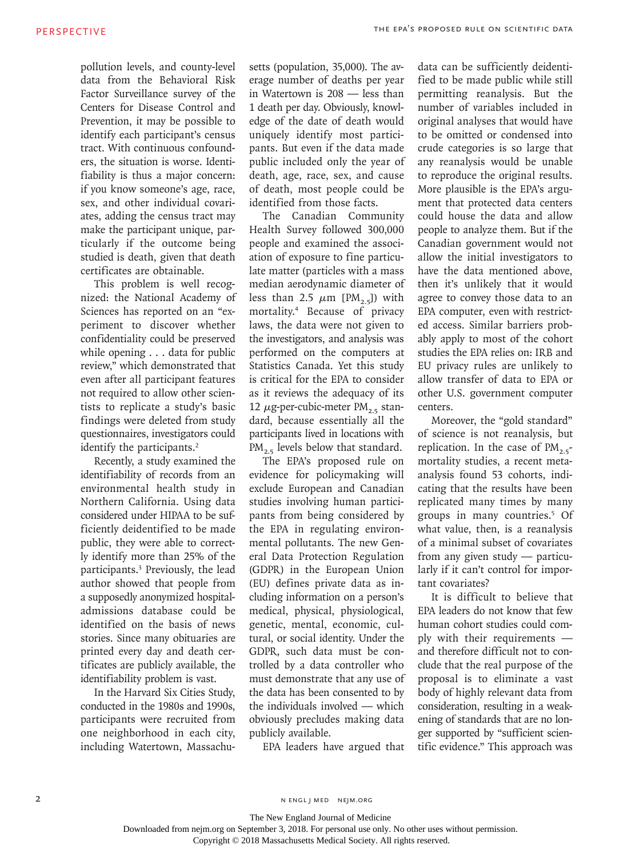pollution levels, and county-level data from the Behavioral Risk Factor Surveillance survey of the Centers for Disease Control and Prevention, it may be possible to identify each participant's census tract. With continuous confounders, the situation is worse. Identifiability is thus a major concern: if you know someone's age, race, sex, and other individual covariates, adding the census tract may make the participant unique, particularly if the outcome being studied is death, given that death certificates are obtainable.

This problem is well recognized: the National Academy of Sciences has reported on an "experiment to discover whether confidentiality could be preserved while opening . . . data for public review," which demonstrated that even after all participant features not required to allow other scientists to replicate a study's basic findings were deleted from study questionnaires, investigators could identify the participants.<sup>2</sup>

Recently, a study examined the identifiability of records from an environmental health study in Northern California. Using data considered under HIPAA to be sufficiently deidentified to be made public, they were able to correctly identify more than 25% of the participants.3 Previously, the lead author showed that people from a supposedly anonymized hospitaladmissions database could be identified on the basis of news stories. Since many obituaries are printed every day and death certificates are publicly available, the identifiability problem is vast.

In the Harvard Six Cities Study, conducted in the 1980s and 1990s, participants were recruited from one neighborhood in each city, including Watertown, Massachusetts (population, 35,000). The average number of deaths per year in Watertown is 208 — less than 1 death per day. Obviously, knowledge of the date of death would uniquely identify most participants. But even if the data made public included only the year of death, age, race, sex, and cause of death, most people could be identified from those facts.

The Canadian Community Health Survey followed 300,000 people and examined the association of exposure to fine particulate matter (particles with a mass median aerodynamic diameter of less than 2.5  $\mu$ m [PM<sub>2.5</sub>]) with mortality.4 Because of privacy laws, the data were not given to the investigators, and analysis was performed on the computers at Statistics Canada. Yet this study is critical for the EPA to consider as it reviews the adequacy of its 12  $\mu$ g-per-cubic-meter PM<sub>2.5</sub> standard, because essentially all the participants lived in locations with  $PM_{2.5}$  levels below that standard.

The EPA's proposed rule on evidence for policymaking will exclude European and Canadian studies involving human participants from being considered by the EPA in regulating environmental pollutants. The new General Data Protection Regulation (GDPR) in the European Union (EU) defines private data as including information on a person's medical, physical, physiological, genetic, mental, economic, cultural, or social identity. Under the GDPR, such data must be controlled by a data controller who must demonstrate that any use of the data has been consented to by the individuals involved — which obviously precludes making data publicly available.

EPA leaders have argued that

data can be sufficiently deidentified to be made public while still permitting reanalysis. But the number of variables included in original analyses that would have to be omitted or condensed into crude categories is so large that any reanalysis would be unable to reproduce the original results. More plausible is the EPA's argument that protected data centers could house the data and allow people to analyze them. But if the Canadian government would not allow the initial investigators to have the data mentioned above, then it's unlikely that it would agree to convey those data to an EPA computer, even with restricted access. Similar barriers probably apply to most of the cohort studies the EPA relies on: IRB and EU privacy rules are unlikely to allow transfer of data to EPA or other U.S. government computer centers.

Moreover, the "gold standard" of science is not reanalysis, but replication. In the case of  $PM_{2.5}$ mortality studies, a recent metaanalysis found 53 cohorts, indicating that the results have been replicated many times by many groups in many countries.5 Of what value, then, is a reanalysis of a minimal subset of covariates from any given study — particularly if it can't control for important covariates?

It is difficult to believe that EPA leaders do not know that few human cohort studies could comply with their requirements and therefore difficult not to conclude that the real purpose of the proposal is to eliminate a vast body of highly relevant data from consideration, resulting in a weakening of standards that are no longer supported by "sufficient scientific evidence." This approach was

n engl j med nejm.org

Downloaded from nejm.org on September 3, 2018. For personal use only. No other uses without permission.

Copyright © 2018 Massachusetts Medical Society. All rights reserved.